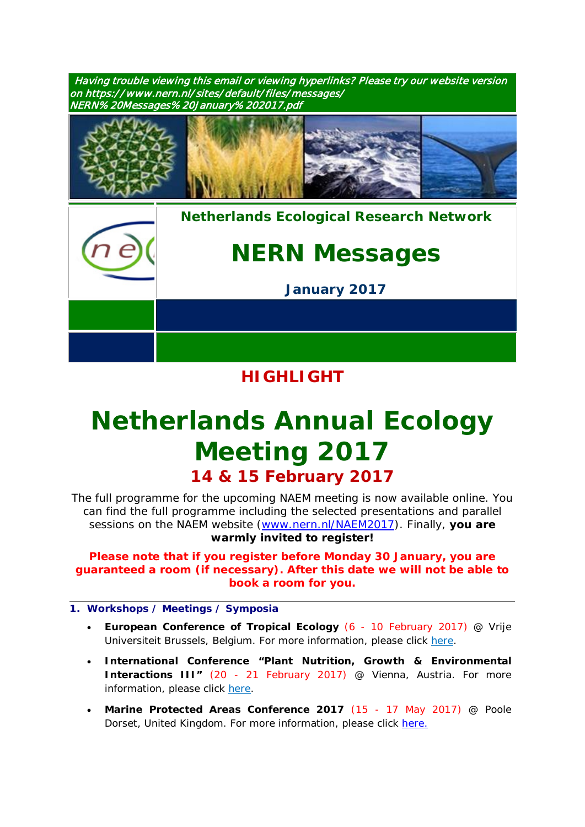Having trouble viewing this email or viewing hyperlinks? Please try our website version on https:/ / www.nern.nl/sites/default/files/messages/ NERN% 20Messages% 20January%202017.pdf





# **HIGHLIGHT**

# *[Netherlands Annual Ecology](https://www.nern.nl/NAEM2017)  [Meeting](https://www.nern.nl/NAEM2017) 2017* **14 & 15 February 2017**

The full programme for the upcoming NAEM meeting is now available online. You can find the full programme including the selected presentations and parallel sessions on the NAEM website [\(www.nern.nl/NAEM2017\)](http://www.nern.nl/NAEM2017). Finally, **you are warmly invited to register!**

**Please note that if you register before Monday 30 January, you are guaranteed a room (if necessary). After this date we will not be able to book a room for you.**

- **1. Workshops / Meetings / Symposia**
	- **European Conference of Tropical Ecology** (6 10 February 2017) @ Vrije Universiteit Brussels, Belgium. For more information, please click [here.](http://www.soctropecol-2017.eu/index.php?cat=sessions)
	- **International Conference "Plant Nutrition, Growth & Environmental Interactions III"** (20 - 21 February 2017) @ Vienna, Austria. For more information, please click [here.](http://www.viscea.org/index.php/plant-nutrition)
	- **Marine Protected Areas Conference 2017** (15 17 May 2017) @ Poole Dorset, United Kingdom. For more information, please click [here.](http://www.pooleharbourstudygroup.org.uk/2017-conference/)